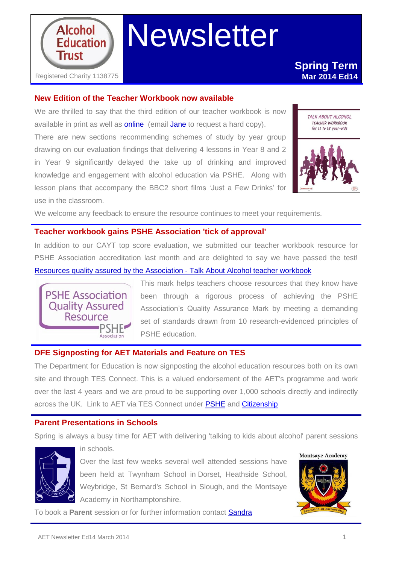

# Newsletter

## **New Edition of the Teacher Workbook now available**

We are thrilled to say that the third edition of our teacher workbook is now available in print as well as **[online](http://www.alcoholeducationtrust.org/Pages/workbookdl.html)** (email [Jane](mailto:jane@alcoholeducationtrust.org) to request a hard copy). There are new sections recommending schemes of study by year group drawing on our evaluation findings that delivering 4 lessons in Year 8 and 2 in Year 9 significantly delayed the take up of drinking and improved knowledge and engagement with alcohol education via PSHE. Along with lesson plans that accompany the BBC2 short films 'Just a Few Drinks' for use in the classroom.



We welcome any feedback to ensure the resource continues to meet your requirements.

#### **Teacher workbook gains PSHE Association 'tick of approval'**

In addition to our CAYT top score evaluation, we submitted our teacher workbook resource for PSHE Association accreditation last month and are delighted to say we have passed the test! [Resources quality assured by the Association](http://www.pshe-association.org.uk/resources_search_details.aspx?ResourceId=525&Keyword=&SubjectID=0&LevelID=0&ResourceTypeID=4&SuggestedUseID=0) - Talk About Alcohol teacher workbook



This mark helps teachers choose resources that they know have been through a rigorous process of achieving the PSHE Association's Quality Assurance Mark by meeting a demanding set of standards drawn from 10 research-evidenced principles of PSHE education.

## **DFE Signposting for AET Materials and Feature on TES**

The Department for Education is now signposting the alcohol education resources both on its own site and through TES Connect. This is a valued endorsement of the AET's programme and work over the last 4 years and we are proud to be supporting over 1,000 schools directly and indirectly across the UK. Link to AET via TES Connect under [PSHE](http://community.tes.co.uk/national_curriculum_2014/b/other_curriculum_subjects/archive/2014/02/05/pshe.aspx) and [Citizenship](http://community.tes.co.uk/national_curriculum_2014/b/citizenship/archive/2014/02/24/alcohol-education-trust.aspx)

## **Parent Presentations in Schools**

in schools.

Spring is always a busy time for AET with delivering 'talking to kids about alcohol' parent sessions



Over the last few weeks several well attended sessions have been held at Twynham School in Dorset, Heathside School, Weybridge, St Bernard's School in Slough, and the Montsaye Academy in Northamptonshire.



To book a **Parent** session or for further information contact [Sandra](mailto:Sandra@alcoholeducationtrust.org)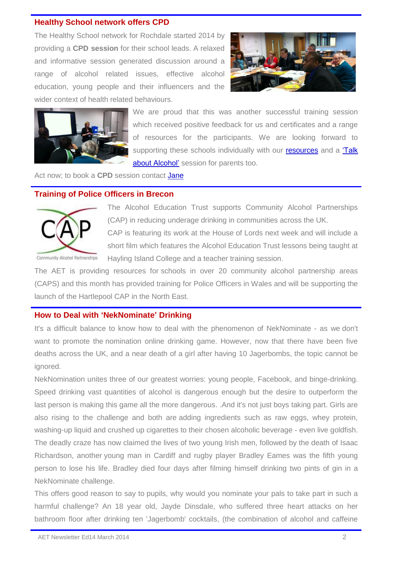#### **Healthy School network offers CPD**

The Healthy School network for Rochdale started 2014 by providing a **CPD session** for their school leads. A relaxed and informative session generated discussion around a range of alcohol related issues, effective alcohol education, young people and their influencers and the wider context of health related behaviours.





We are proud that this was another successful training session which received positive feedback for us and certificates and a range of resources for the participants. We are looking forward to supporting these schools individually with our [resources](http://www.alcoholeducationtrust.org/Pages/resources.html) and a 'Talk [about Alcohol'](http://www.alcoholeducationtrust.org/Pages/involvepar.html) session for parents too.

Act now; to book a **CPD** session contact [Jane](mailto:jane@alcoholeducationtrust.org)

### **Training of Police Officers in Brecon**



The Alcohol Education Trust supports Community Alcohol Partnerships (CAP) in reducing underage drinking in communities across the UK. CAP is featuring its work at the House of Lords next week and will include a short film which features the Alcohol Education Trust lessons being taught at Hayling Island College and a teacher training session.

The AET is providing resources for schools in over 20 community alcohol partnership areas (CAPS) and this month has provided training for Police Officers in Wales and will be supporting the launch of the Hartlepool CAP in the North East.

#### **How to Deal with 'NekNominate' Drinking**

It's a difficult balance to know how to deal with the phenomenon of NekNominate - as we don't want to promote the nomination online drinking game. However, now that there have been five deaths across the UK, and a near death of a girl after having 10 Jagerbombs, the topic cannot be ignored.

NekNomination unites three of our greatest worries: young people, Facebook, and binge-drinking. Speed drinking vast quantities of alcohol is dangerous enough but the desire to outperform the last person is making this game all the more dangerous. .And it's not just boys taking part. Girls are also rising to the challenge and both are adding ingredients such as raw eggs, whey protein, washing-up liquid and crushed up cigarettes to their chosen alcoholic beverage - even live goldfish. The deadly craze has now claimed the lives of two young Irish men, followed by the death of Isaac Richardson, another young man in Cardiff and rugby player Bradley Eames was the fifth young person to lose his life. Bradley died four days after filming himself drinking two pints of gin in a NekNominate challenge.

This offers good reason to say to pupils, why would you nominate your pals to take part in such a harmful challenge? An 18 year old, Jayde Dinsdale, who suffered three heart attacks on her bathroom floor after drinking ten 'Jagerbomb' cocktails, (the combination of alcohol and caffeine